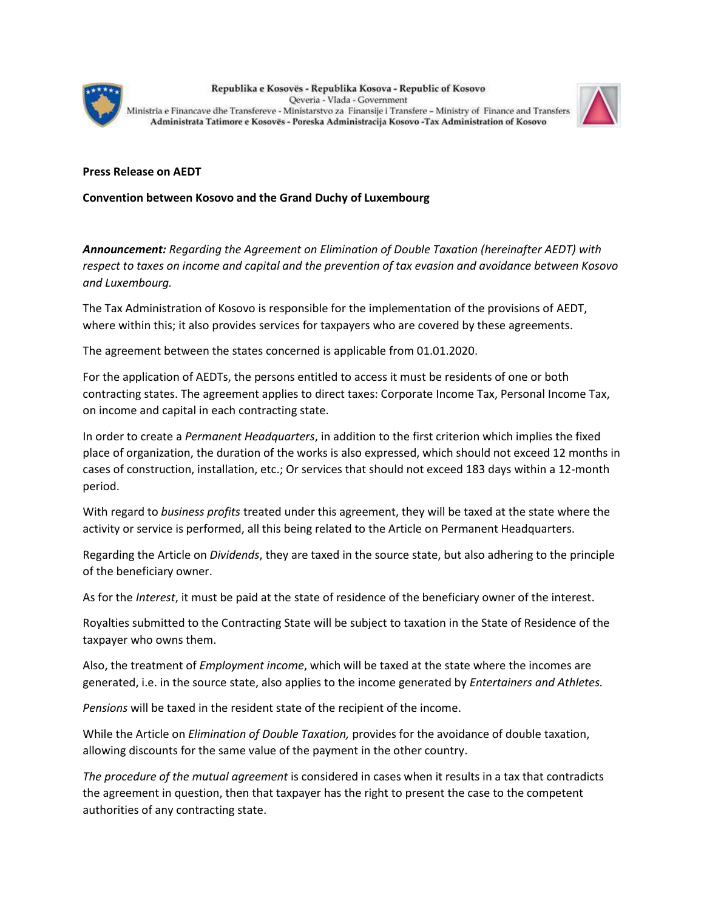

Republika e Kosovës - Republika Kosova - Republic of Kosovo Qeveria - Vlada - Government Ministria e Financave dhe Transfereve - Ministarstvo za Finansije i Transfere - Ministry of Finance and Transfers Administrata Tatimore e Kosovës - Poreska Administracija Kosovo -Tax Administration of Kosovo



## **Press Release on AEDT**

**Convention between Kosovo and the Grand Duchy of Luxembourg**

*Announcement: Regarding the Agreement on Elimination of Double Taxation (hereinafter AEDT) with respect to taxes on income and capital and the prevention of tax evasion and avoidance between Kosovo and Luxembourg.*

The Tax Administration of Kosovo is responsible for the implementation of the provisions of AEDT, where within this; it also provides services for taxpayers who are covered by these agreements.

The agreement between the states concerned is applicable from 01.01.2020.

For the application of AEDTs, the persons entitled to access it must be residents of one or both contracting states. The agreement applies to direct taxes: Corporate Income Tax, Personal Income Tax, on income and capital in each contracting state.

In order to create a *Permanent Headquarters*, in addition to the first criterion which implies the fixed place of organization, the duration of the works is also expressed, which should not exceed 12 months in cases of construction, installation, etc.; Or services that should not exceed 183 days within a 12-month period.

With regard to *business profits* treated under this agreement, they will be taxed at the state where the activity or service is performed, all this being related to the Article on Permanent Headquarters.

Regarding the Article on *Dividends*, they are taxed in the source state, but also adhering to the principle of the beneficiary owner.

As for the *Interest*, it must be paid at the state of residence of the beneficiary owner of the interest.

Royalties submitted to the Contracting State will be subject to taxation in the State of Residence of the taxpayer who owns them.

Also, the treatment of *Employment income*, which will be taxed at the state where the incomes are generated, i.e. in the source state, also applies to the income generated by *Entertainers and Athletes.*

*Pensions* will be taxed in the resident state of the recipient of the income.

While the Article on *Elimination of Double Taxation,* provides for the avoidance of double taxation, allowing discounts for the same value of the payment in the other country.

*The procedure of the mutual agreement* is considered in cases when it results in a tax that contradicts the agreement in question, then that taxpayer has the right to present the case to the competent authorities of any contracting state.